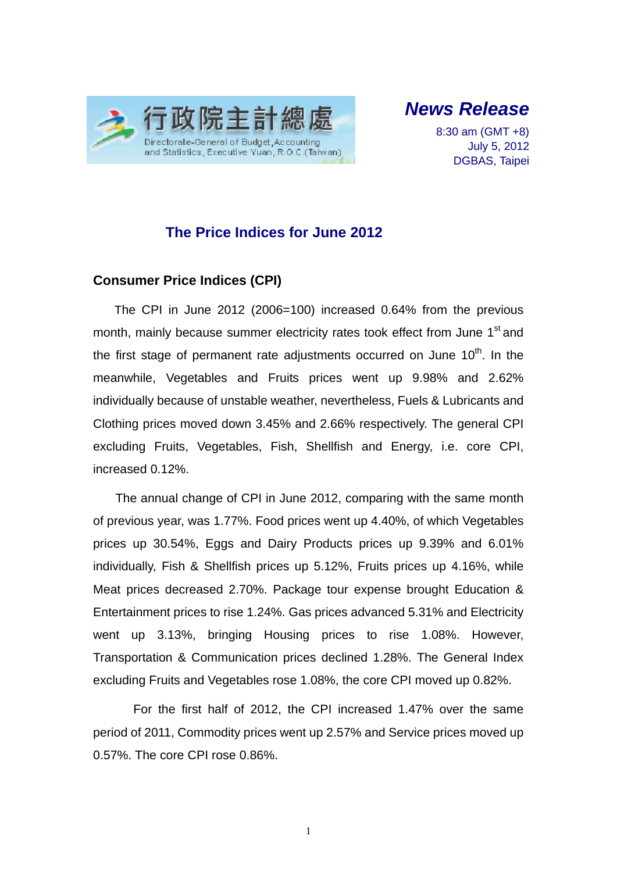

*News Release* 

8:30 am (GMT +8) July 5, 2012 DGBAS, Taipei

### **The Price Indices for June 2012**

### **Consumer Price Indices (CPI)**

The CPI in June 2012 (2006=100) increased 0.64% from the previous month, mainly because summer electricity rates took effect from June 1<sup>st</sup> and the first stage of permanent rate adjustments occurred on June  $10<sup>th</sup>$ . In the meanwhile, Vegetables and Fruits prices went up 9.98% and 2.62% individually because of unstable weather, nevertheless, Fuels & Lubricants and Clothing prices moved down 3.45% and 2.66% respectively. The general CPI excluding Fruits, Vegetables, Fish, Shellfish and Energy, i.e. core CPI, increased 0.12%.

The annual change of CPI in June 2012, comparing with the same month of previous year, was 1.77%. Food prices went up 4.40%, of which Vegetables prices up 30.54%, Eggs and Dairy Products prices up 9.39% and 6.01% individually, Fish & Shellfish prices up 5.12%, Fruits prices up 4.16%, while Meat prices decreased 2.70%. Package tour expense brought Education & Entertainment prices to rise 1.24%. Gas prices advanced 5.31% and Electricity went up 3.13%, bringing Housing prices to rise 1.08%. However, Transportation & Communication prices declined 1.28%. The General Index excluding Fruits and Vegetables rose 1.08%, the core CPI moved up 0.82%.

For the first half of 2012, the CPI increased 1.47% over the same period of 2011, Commodity prices went up 2.57% and Service prices moved up 0.57%. The core CPI rose 0.86%.

1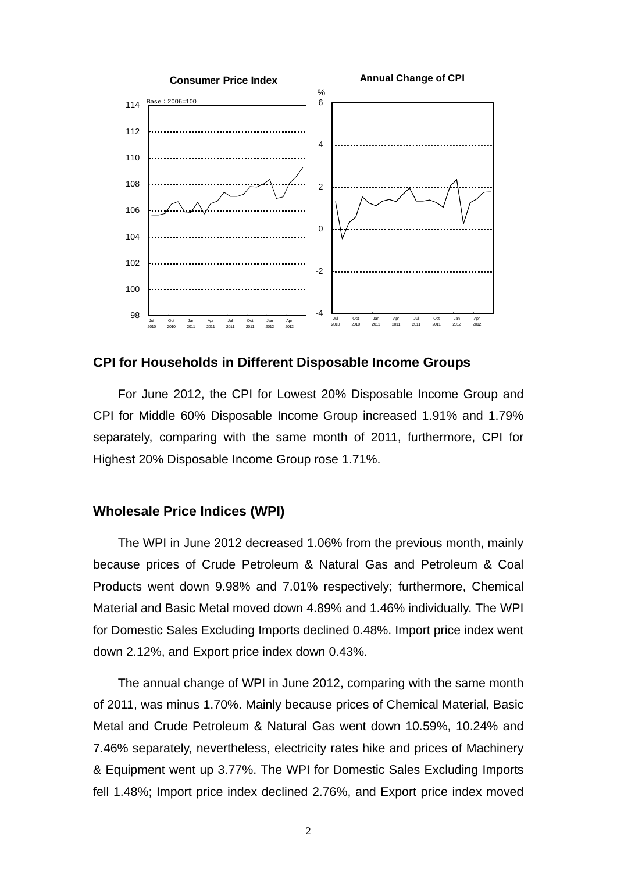

#### **CPI for Households in Different Disposable Income Groups**

For June 2012, the CPI for Lowest 20% Disposable Income Group and CPI for Middle 60% Disposable Income Group increased 1.91% and 1.79% separately, comparing with the same month of 2011, furthermore, CPI for Highest 20% Disposable Income Group rose 1.71%.

#### **Wholesale Price Indices (WPI)**

The WPI in June 2012 decreased 1.06% from the previous month, mainly because prices of Crude Petroleum & Natural Gas and Petroleum & Coal Products went down 9.98% and 7.01% respectively; furthermore, Chemical Material and Basic Metal moved down 4.89% and 1.46% individually. The WPI for Domestic Sales Excluding Imports declined 0.48%. Import price index went down 2.12%, and Export price index down 0.43%.

The annual change of WPI in June 2012, comparing with the same month of 2011, was minus 1.70%. Mainly because prices of Chemical Material, Basic Metal and Crude Petroleum & Natural Gas went down 10.59%, 10.24% and 7.46% separately, nevertheless, electricity rates hike and prices of Machinery & Equipment went up 3.77%. The WPI for Domestic Sales Excluding Imports fell 1.48%; Import price index declined 2.76%, and Export price index moved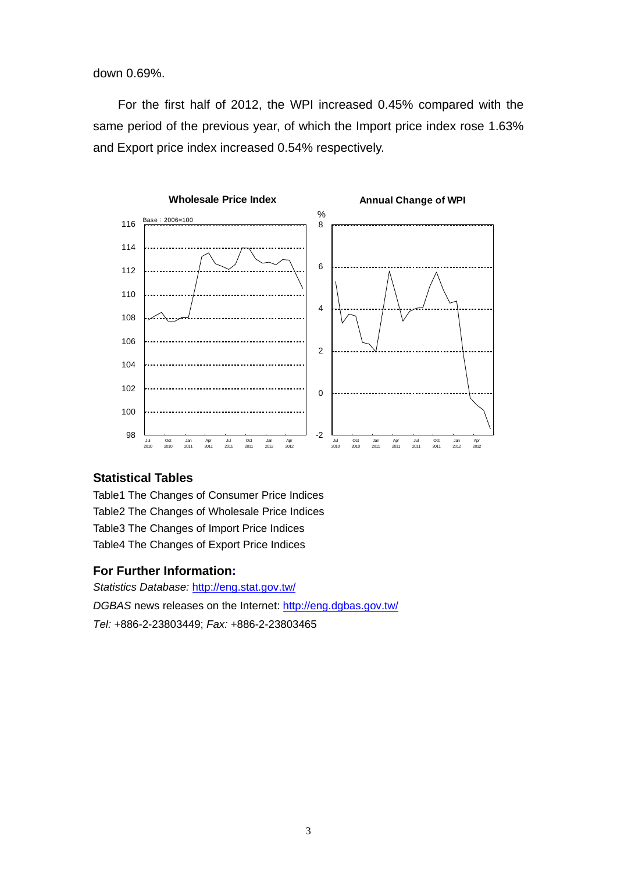down 0.69%.

For the first half of 2012, the WPI increased 0.45% compared with the same period of the previous year, of which the Import price index rose 1.63% and Export price index increased 0.54% respectively.

![](_page_2_Figure_2.jpeg)

### **Statistical Tables**

Table1 The Changes of Consumer Price Indices Table2 The Changes of Wholesale Price Indices Table3 The Changes of Import Price Indices Table4 The Changes of Export Price Indices

### **For Further Information:**

*Statistics Database:* http://eng.stat.gov.tw/ *DGBAS* news releases on the Internet: http://eng.dgbas.gov.tw/ *Tel:* +886-2-23803449; *Fax:* +886-2-23803465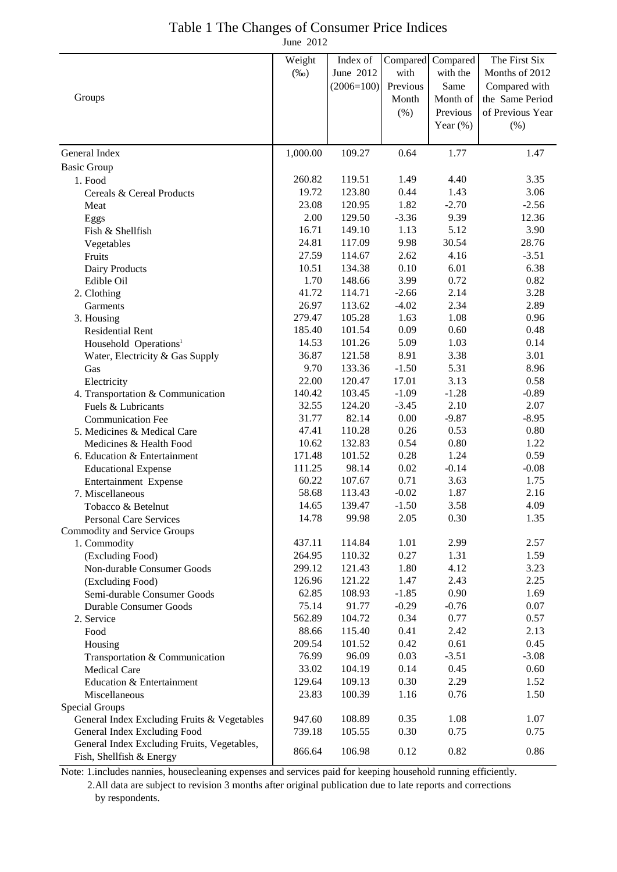# Table 1 The Changes of Consumer Price Indices

June 2012

|                                                                         | Weight   | Index of     | Compared | Compared    | The First Six    |
|-------------------------------------------------------------------------|----------|--------------|----------|-------------|------------------|
|                                                                         | $(\%0)$  | June 2012    | with     | with the    | Months of 2012   |
|                                                                         |          | $(2006=100)$ | Previous | Same        | Compared with    |
| Groups                                                                  |          |              | Month    | Month of    | the Same Period  |
|                                                                         |          |              | $(\% )$  | Previous    | of Previous Year |
|                                                                         |          |              |          | Year $(\%)$ | $(\% )$          |
|                                                                         |          |              |          |             |                  |
| General Index                                                           | 1,000.00 | 109.27       | 0.64     | 1.77        | 1.47             |
| <b>Basic Group</b>                                                      |          |              |          |             |                  |
| 1. Food                                                                 | 260.82   | 119.51       | 1.49     | 4.40        | 3.35             |
| Cereals & Cereal Products                                               | 19.72    | 123.80       | 0.44     | 1.43        | 3.06             |
| Meat                                                                    | 23.08    | 120.95       | 1.82     | $-2.70$     | $-2.56$          |
| Eggs                                                                    | 2.00     | 129.50       | $-3.36$  | 9.39        | 12.36            |
| Fish & Shellfish                                                        | 16.71    | 149.10       | 1.13     | 5.12        | 3.90             |
| Vegetables                                                              | 24.81    | 117.09       | 9.98     | 30.54       | 28.76            |
| Fruits                                                                  | 27.59    | 114.67       | 2.62     | 4.16        | $-3.51$          |
| Dairy Products                                                          | 10.51    | 134.38       | 0.10     | 6.01        | 6.38             |
| Edible Oil                                                              | 1.70     | 148.66       | 3.99     | 0.72        | 0.82             |
| 2. Clothing                                                             | 41.72    | 114.71       | $-2.66$  | 2.14        | 3.28             |
| Garments                                                                | 26.97    | 113.62       | $-4.02$  | 2.34        | 2.89             |
| 3. Housing                                                              | 279.47   | 105.28       | 1.63     | 1.08        | 0.96             |
| <b>Residential Rent</b>                                                 | 185.40   | 101.54       | 0.09     | 0.60        | 0.48             |
| Household Operations <sup>1</sup>                                       | 14.53    | 101.26       | 5.09     | 1.03        | 0.14             |
| Water, Electricity & Gas Supply                                         | 36.87    | 121.58       | 8.91     | 3.38        | 3.01             |
| Gas                                                                     | 9.70     | 133.36       | $-1.50$  | 5.31        | 8.96             |
| Electricity                                                             | 22.00    | 120.47       | 17.01    | 3.13        | 0.58             |
| 4. Transportation & Communication                                       | 140.42   | 103.45       | $-1.09$  | $-1.28$     | $-0.89$          |
| Fuels & Lubricants                                                      | 32.55    | 124.20       | $-3.45$  | 2.10        | 2.07             |
| <b>Communication Fee</b>                                                | 31.77    | 82.14        | 0.00     | $-9.87$     | $-8.95$          |
| 5. Medicines & Medical Care                                             | 47.41    | 110.28       | 0.26     | 0.53        | 0.80             |
| Medicines & Health Food                                                 | 10.62    | 132.83       | 0.54     | 0.80        | 1.22             |
| 6. Education & Entertainment                                            | 171.48   | 101.52       | 0.28     | 1.24        | 0.59             |
| <b>Educational Expense</b>                                              | 111.25   | 98.14        | 0.02     | $-0.14$     | $-0.08$          |
| Entertainment Expense                                                   | 60.22    | 107.67       | 0.71     | 3.63        | 1.75             |
| 7. Miscellaneous                                                        | 58.68    | 113.43       | $-0.02$  | 1.87        | 2.16             |
| Tobacco & Betelnut                                                      | 14.65    | 139.47       | $-1.50$  | 3.58        | 4.09             |
| <b>Personal Care Services</b>                                           | 14.78    | 99.98        | 2.05     | 0.30        | 1.35             |
| Commodity and Service Groups                                            |          |              |          |             |                  |
| 1. Commodity                                                            | 437.11   | 114.84       | 1.01     | 2.99        | 2.57             |
| (Excluding Food)                                                        | 264.95   | 110.32       | 0.27     | 1.31        | 1.59             |
| Non-durable Consumer Goods                                              | 299.12   | 121.43       | 1.80     | 4.12        | 3.23             |
| (Excluding Food)                                                        | 126.96   | 121.22       | 1.47     | 2.43        | 2.25             |
| Semi-durable Consumer Goods                                             | 62.85    | 108.93       | $-1.85$  | 0.90        | 1.69             |
| <b>Durable Consumer Goods</b>                                           | 75.14    | 91.77        | $-0.29$  | $-0.76$     | 0.07             |
| 2. Service                                                              | 562.89   | 104.72       | 0.34     | 0.77        | 0.57             |
| Food                                                                    | 88.66    | 115.40       | 0.41     | 2.42        | 2.13             |
| Housing                                                                 | 209.54   | 101.52       | 0.42     | 0.61        | 0.45             |
| Transportation & Communication                                          | 76.99    | 96.09        | 0.03     | $-3.51$     | $-3.08$          |
| <b>Medical Care</b>                                                     | 33.02    | 104.19       | 0.14     | 0.45        | 0.60             |
| Education & Entertainment                                               | 129.64   | 109.13       | 0.30     | 2.29        | 1.52             |
| Miscellaneous                                                           | 23.83    | 100.39       | 1.16     | 0.76        | 1.50             |
| Special Groups                                                          |          |              |          |             |                  |
| General Index Excluding Fruits & Vegetables                             | 947.60   | 108.89       | 0.35     | 1.08        | 1.07             |
| General Index Excluding Food                                            | 739.18   | 105.55       | 0.30     | 0.75        | 0.75             |
| General Index Excluding Fruits, Vegetables,<br>Fish, Shellfish & Energy | 866.64   | 106.98       | 0.12     | 0.82        | 0.86             |

Note: 1.includes nannies, housecleaning expenses and services paid for keeping household running efficiently.

2.All data are subject to revision 3 months after original publication due to late reports and corrections

by respondents.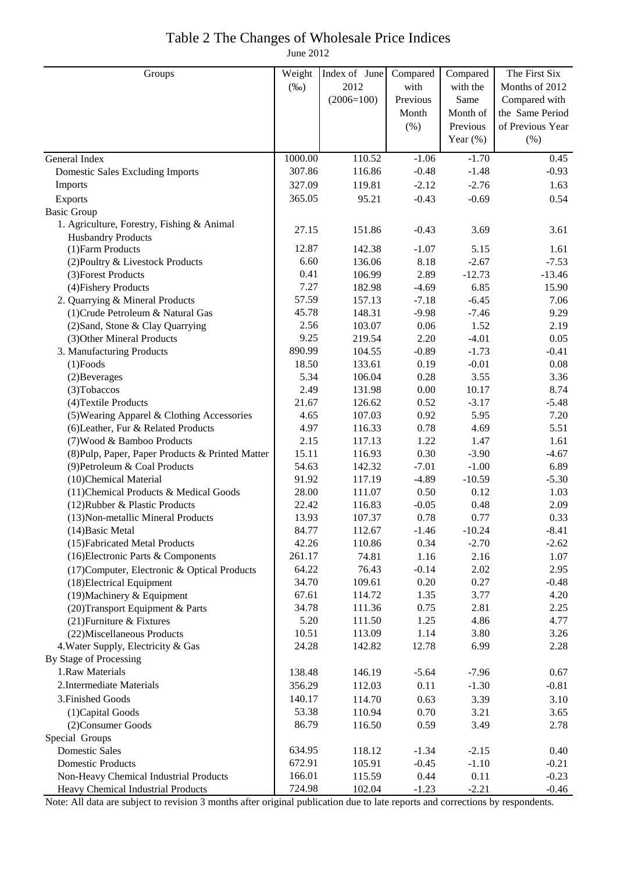## Table 2 The Changes of Wholesale Price Indices

June 2012

| Groups                                           | Weight  | Index of June | Compared | Compared    | The First Six    |
|--------------------------------------------------|---------|---------------|----------|-------------|------------------|
|                                                  | $(\%0)$ | 2012          | with     | with the    | Months of 2012   |
|                                                  |         | $(2006=100)$  | Previous | Same        | Compared with    |
|                                                  |         |               | Month    | Month of    | the Same Period  |
|                                                  |         |               | (% )     | Previous    | of Previous Year |
|                                                  |         |               |          | Year $(\%)$ | (% )             |
| General Index                                    | 1000.00 | 110.52        | $-1.06$  | $-1.70$     | 0.45             |
| <b>Domestic Sales Excluding Imports</b>          | 307.86  | 116.86        | $-0.48$  | $-1.48$     | $-0.93$          |
| Imports                                          | 327.09  | 119.81        | $-2.12$  | $-2.76$     | 1.63             |
| Exports                                          | 365.05  | 95.21         | $-0.43$  | $-0.69$     | 0.54             |
| <b>Basic Group</b>                               |         |               |          |             |                  |
| 1. Agriculture, Forestry, Fishing & Animal       |         |               |          |             |                  |
| <b>Husbandry Products</b>                        | 27.15   | 151.86        | $-0.43$  | 3.69        | 3.61             |
| (1) Farm Products                                | 12.87   | 142.38        | $-1.07$  | 5.15        | 1.61             |
| (2) Poultry & Livestock Products                 | 6.60    | 136.06        | 8.18     | $-2.67$     | $-7.53$          |
| (3) Forest Products                              | 0.41    | 106.99        | 2.89     | $-12.73$    | $-13.46$         |
| (4) Fishery Products                             | 7.27    | 182.98        | $-4.69$  | 6.85        | 15.90            |
| 2. Quarrying & Mineral Products                  | 57.59   | 157.13        | $-7.18$  | $-6.45$     | 7.06             |
| (1) Crude Petroleum & Natural Gas                | 45.78   | 148.31        | $-9.98$  | $-7.46$     | 9.29             |
| (2) Sand, Stone & Clay Quarrying                 | 2.56    | 103.07        | 0.06     | 1.52        | 2.19             |
| (3) Other Mineral Products                       | 9.25    | 219.54        | 2.20     | $-4.01$     | 0.05             |
| 3. Manufacturing Products                        | 890.99  | 104.55        | $-0.89$  | $-1.73$     | $-0.41$          |
| $(1)$ Foods                                      | 18.50   | 133.61        | 0.19     | $-0.01$     | 0.08             |
| (2) Beverages                                    | 5.34    | 106.04        | 0.28     | 3.55        | 3.36             |
| (3) Tobaccos                                     | 2.49    | 131.98        | $0.00\,$ | 10.17       | 8.74             |
| (4) Textile Products                             | 21.67   | 126.62        | 0.52     | $-3.17$     | $-5.48$          |
| (5) Wearing Apparel & Clothing Accessories       | 4.65    | 107.03        | 0.92     | 5.95        | 7.20             |
| (6) Leather, Fur & Related Products              | 4.97    | 116.33        | 0.78     | 4.69        | 5.51             |
| (7) Wood & Bamboo Products                       | 2.15    | 117.13        | 1.22     | 1.47        | 1.61             |
| (8) Pulp, Paper, Paper Products & Printed Matter | 15.11   | 116.93        | 0.30     | $-3.90$     | $-4.67$          |
| (9) Petroleum & Coal Products                    | 54.63   | 142.32        | $-7.01$  | $-1.00$     | 6.89             |
| (10)Chemical Material                            | 91.92   | 117.19        | $-4.89$  | $-10.59$    | $-5.30$          |
| (11) Chemical Products & Medical Goods           | 28.00   | 111.07        | 0.50     | 0.12        | 1.03             |
| (12) Rubber & Plastic Products                   | 22.42   | 116.83        | $-0.05$  | 0.48        | 2.09             |
| (13) Non-metallic Mineral Products               | 13.93   | 107.37        | 0.78     | 0.77        | 0.33             |
| (14) Basic Metal                                 | 84.77   | 112.67        | $-1.46$  | $-10.24$    | $-8.41$          |
| (15) Fabricated Metal Products                   | 42.26   | 110.86        | 0.34     | $-2.70$     | $-2.62$          |
| (16) Electronic Parts & Components               | 261.17  | 74.81         | 1.16     | 2.16        | 1.07             |
| (17) Computer, Electronic & Optical Products     | 64.22   | 76.43         | $-0.14$  | 2.02        | 2.95             |
| (18) Electrical Equipment                        | 34.70   | 109.61        | 0.20     | 0.27        | $-0.48$          |
| $(19)$ Machinery & Equipment                     | 67.61   | 114.72        | 1.35     | 3.77        | 4.20             |
| (20) Transport Equipment & Parts                 | 34.78   | 111.36        | 0.75     | 2.81        | 2.25             |
| (21) Furniture & Fixtures                        | 5.20    | 111.50        | 1.25     | 4.86        | 4.77             |
| (22) Miscellaneous Products                      | 10.51   | 113.09        | 1.14     | 3.80        | 3.26             |
| 4. Water Supply, Electricity & Gas               | 24.28   | 142.82        | 12.78    | 6.99        | 2.28             |
| By Stage of Processing                           |         |               |          |             |                  |
| 1.Raw Materials                                  | 138.48  | 146.19        | $-5.64$  | $-7.96$     | 0.67             |
| 2. Intermediate Materials                        | 356.29  | 112.03        | 0.11     | $-1.30$     | $-0.81$          |
| 3. Finished Goods                                | 140.17  | 114.70        | 0.63     | 3.39        | 3.10             |
| (1) Capital Goods                                | 53.38   | 110.94        | 0.70     | 3.21        | 3.65             |
| (2) Consumer Goods                               | 86.79   | 116.50        | 0.59     | 3.49        | 2.78             |
| Special Groups                                   |         |               |          |             |                  |
| <b>Domestic Sales</b>                            | 634.95  | 118.12        | $-1.34$  | $-2.15$     | 0.40             |
| <b>Domestic Products</b>                         | 672.91  | 105.91        | $-0.45$  | $-1.10$     | $-0.21$          |
| Non-Heavy Chemical Industrial Products           | 166.01  | 115.59        | 0.44     | 0.11        | $-0.23$          |
| Heavy Chemical Industrial Products               | 724.98  | 102.04        | $-1.23$  | $-2.21$     | $-0.46$          |

Note: All data are subject to revision 3 months after original publication due to late reports and corrections by respondents.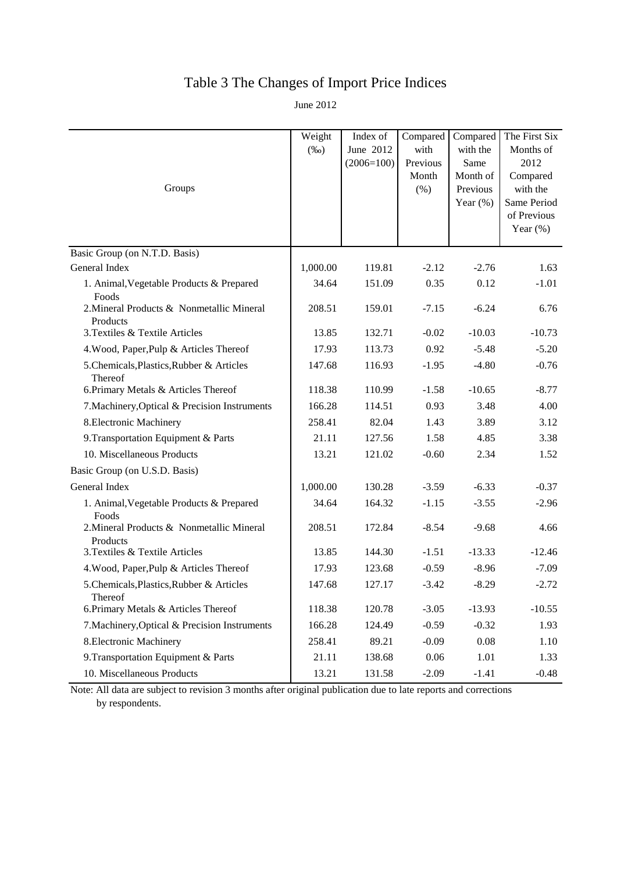# Table 3 The Changes of Import Price Indices

June 2012

| Groups                                                | Weight<br>$(\%0)$ | Index of<br>June 2012<br>$(2006=100)$ | Compared<br>with<br>Previous<br>Month<br>(% ) | Compared<br>with the<br>Same<br>Month of<br>Previous<br>Year $(\%)$ | The First Six<br>Months of<br>2012<br>Compared<br>with the<br>Same Period<br>of Previous<br>Year $(\%)$ |
|-------------------------------------------------------|-------------------|---------------------------------------|-----------------------------------------------|---------------------------------------------------------------------|---------------------------------------------------------------------------------------------------------|
| Basic Group (on N.T.D. Basis)                         |                   |                                       |                                               |                                                                     |                                                                                                         |
| General Index                                         | 1,000.00          | 119.81                                | $-2.12$                                       | $-2.76$                                                             | 1.63                                                                                                    |
| 1. Animal, Vegetable Products & Prepared<br>Foods     | 34.64             | 151.09                                | 0.35                                          | 0.12                                                                | $-1.01$                                                                                                 |
| 2. Mineral Products & Nonmetallic Mineral<br>Products | 208.51            | 159.01                                | $-7.15$                                       | $-6.24$                                                             | 6.76                                                                                                    |
| 3. Textiles & Textile Articles                        | 13.85             | 132.71                                | $-0.02$                                       | $-10.03$                                                            | $-10.73$                                                                                                |
| 4. Wood, Paper, Pulp & Articles Thereof               | 17.93             | 113.73                                | 0.92                                          | $-5.48$                                                             | $-5.20$                                                                                                 |
| 5.Chemicals, Plastics, Rubber & Articles<br>Thereof   | 147.68            | 116.93                                | $-1.95$                                       | $-4.80$                                                             | $-0.76$                                                                                                 |
| 6. Primary Metals & Articles Thereof                  | 118.38            | 110.99                                | $-1.58$                                       | $-10.65$                                                            | $-8.77$                                                                                                 |
| 7. Machinery, Optical & Precision Instruments         | 166.28            | 114.51                                | 0.93                                          | 3.48                                                                | 4.00                                                                                                    |
| 8. Electronic Machinery                               | 258.41            | 82.04                                 | 1.43                                          | 3.89                                                                | 3.12                                                                                                    |
| 9. Transportation Equipment & Parts                   | 21.11             | 127.56                                | 1.58                                          | 4.85                                                                | 3.38                                                                                                    |
| 10. Miscellaneous Products                            | 13.21             | 121.02                                | $-0.60$                                       | 2.34                                                                | 1.52                                                                                                    |
| Basic Group (on U.S.D. Basis)                         |                   |                                       |                                               |                                                                     |                                                                                                         |
| General Index                                         | 1,000.00          | 130.28                                | $-3.59$                                       | $-6.33$                                                             | $-0.37$                                                                                                 |
| 1. Animal, Vegetable Products & Prepared<br>Foods     | 34.64             | 164.32                                | $-1.15$                                       | $-3.55$                                                             | $-2.96$                                                                                                 |
| 2. Mineral Products & Nonmetallic Mineral<br>Products | 208.51            | 172.84                                | $-8.54$                                       | $-9.68$                                                             | 4.66                                                                                                    |
| 3. Textiles & Textile Articles                        | 13.85             | 144.30                                | $-1.51$                                       | $-13.33$                                                            | $-12.46$                                                                                                |
| 4. Wood, Paper, Pulp & Articles Thereof               | 17.93             | 123.68                                | $-0.59$                                       | $-8.96$                                                             | $-7.09$                                                                                                 |
| 5. Chemicals, Plastics, Rubber & Articles<br>Thereof  | 147.68            | 127.17                                | $-3.42$                                       | $-8.29$                                                             | $-2.72$                                                                                                 |
| 6. Primary Metals & Articles Thereof                  | 118.38            | 120.78                                | $-3.05$                                       | $-13.93$                                                            | $-10.55$                                                                                                |
| 7. Machinery, Optical & Precision Instruments         | 166.28            | 124.49                                | $-0.59$                                       | $-0.32$                                                             | 1.93                                                                                                    |
| 8. Electronic Machinery                               | 258.41            | 89.21                                 | $-0.09$                                       | 0.08                                                                | 1.10                                                                                                    |
| 9. Transportation Equipment & Parts                   | 21.11             | 138.68                                | 0.06                                          | 1.01                                                                | 1.33                                                                                                    |
| 10. Miscellaneous Products                            | 13.21             | 131.58                                | $-2.09$                                       | $-1.41$                                                             | $-0.48$                                                                                                 |

Note: All data are subject to revision 3 months after original publication due to late reports and corrections by respondents.